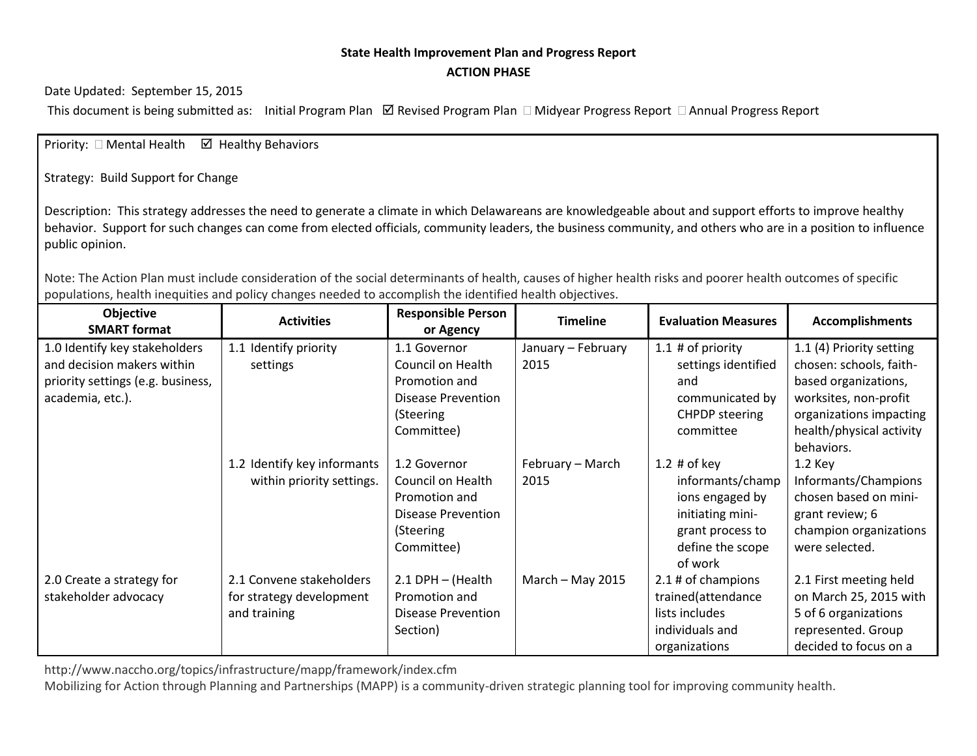## **State Health Improvement Plan and Progress Report ACTION PHASE**

Date Updated: September 15, 2015

This document is being submitted as: Initial Program Plan  $\boxtimes$  Revised Program Plan  $\Box$  Midyear Progress Report  $\Box$  Annual Progress Report

Priority:  $\Box$  Mental Health  $\Box$  Healthy Behaviors

Strategy: Build Support for Change

Description: This strategy addresses the need to generate a climate in which Delawareans are knowledgeable about and support efforts to improve healthy behavior. Support for such changes can come from elected officials, community leaders, the business community, and others who are in a position to influence public opinion.

Note: The Action Plan must include consideration of the social determinants of health, causes of higher health risks and poorer health outcomes of specific populations, health inequities and policy changes needed to accomplish the identified health objectives.

| <b>Objective</b><br><b>SMART format</b> | <b>Activities</b>           | <b>Responsible Person</b><br>or Agency | <b>Timeline</b>    | <b>Evaluation Measures</b> | <b>Accomplishments</b>   |
|-----------------------------------------|-----------------------------|----------------------------------------|--------------------|----------------------------|--------------------------|
| 1.0 Identify key stakeholders           | 1.1 Identify priority       | 1.1 Governor                           | January - February | 1.1 $#$ of priority        | 1.1 (4) Priority setting |
| and decision makers within              | settings                    | Council on Health                      | 2015               | settings identified        | chosen: schools, faith-  |
| priority settings (e.g. business,       |                             | Promotion and                          |                    | and                        | based organizations,     |
| academia, etc.).                        |                             | <b>Disease Prevention</b>              |                    | communicated by            | worksites, non-profit    |
|                                         |                             | (Steering                              |                    | <b>CHPDP</b> steering      | organizations impacting  |
|                                         |                             | Committee)                             |                    | committee                  | health/physical activity |
|                                         |                             |                                        |                    |                            | behaviors.               |
|                                         | 1.2 Identify key informants | 1.2 Governor                           | February - March   | 1.2 $#$ of key             | 1.2 Key                  |
|                                         | within priority settings.   | Council on Health                      | 2015               | informants/champ           | Informants/Champions     |
|                                         |                             | Promotion and                          |                    | ions engaged by            | chosen based on mini-    |
|                                         |                             | Disease Prevention                     |                    | initiating mini-           | grant review; 6          |
|                                         |                             | (Steering                              |                    | grant process to           | champion organizations   |
|                                         |                             | Committee)                             |                    | define the scope           | were selected.           |
|                                         |                             |                                        |                    | of work                    |                          |
| 2.0 Create a strategy for               | 2.1 Convene stakeholders    | 2.1 DPH - (Health                      | March $-$ May 2015 | 2.1 # of champions         | 2.1 First meeting held   |
| stakeholder advocacy                    | for strategy development    | Promotion and                          |                    | trained(attendance         | on March 25, 2015 with   |
|                                         | and training                | Disease Prevention                     |                    | lists includes             | 5 of 6 organizations     |
|                                         |                             | Section)                               |                    | individuals and            | represented. Group       |
|                                         |                             |                                        |                    | organizations              | decided to focus on a    |

http://www.naccho.org/topics/infrastructure/mapp/framework/index.cfm

Mobilizing for Action through Planning and Partnerships (MAPP) is a community-driven strategic planning tool for improving community health.